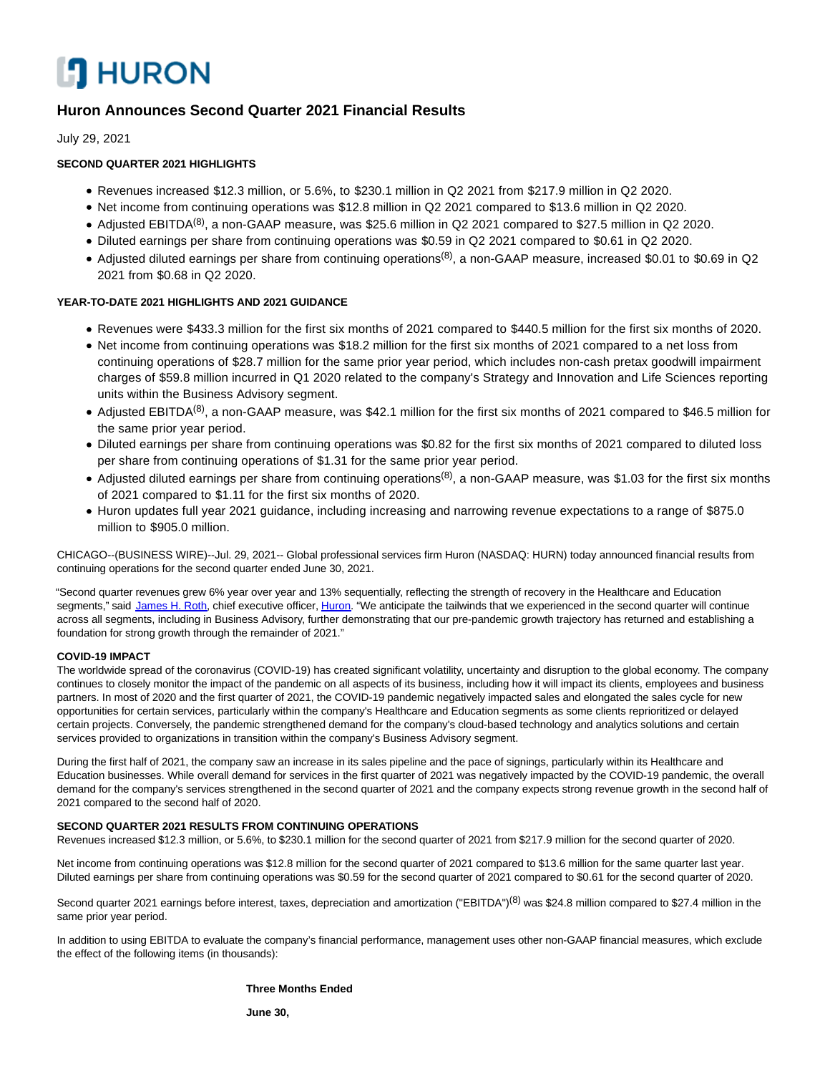# **L'I** HURON

## **Huron Announces Second Quarter 2021 Financial Results**

July 29, 2021

## **SECOND QUARTER 2021 HIGHLIGHTS**

- Revenues increased \$12.3 million, or 5.6%, to \$230.1 million in Q2 2021 from \$217.9 million in Q2 2020.
- Net income from continuing operations was \$12.8 million in Q2 2021 compared to \$13.6 million in Q2 2020.
- Adjusted EBITDA(8), a non-GAAP measure, was \$25.6 million in Q2 2021 compared to \$27.5 million in Q2 2020.
- Diluted earnings per share from continuing operations was \$0.59 in Q2 2021 compared to \$0.61 in Q2 2020.
- Adjusted diluted earnings per share from continuing operations<sup>(8)</sup>, a non-GAAP measure, increased \$0.01 to \$0.69 in Q2 2021 from \$0.68 in Q2 2020.

### **YEAR-TO-DATE 2021 HIGHLIGHTS AND 2021 GUIDANCE**

- Revenues were \$433.3 million for the first six months of 2021 compared to \$440.5 million for the first six months of 2020.
- Net income from continuing operations was \$18.2 million for the first six months of 2021 compared to a net loss from continuing operations of \$28.7 million for the same prior year period, which includes non-cash pretax goodwill impairment charges of \$59.8 million incurred in Q1 2020 related to the company's Strategy and Innovation and Life Sciences reporting units within the Business Advisory segment.
- Adjusted EBITDA<sup>(8)</sup>, a non-GAAP measure, was \$42.1 million for the first six months of 2021 compared to \$46.5 million for the same prior year period.
- Diluted earnings per share from continuing operations was \$0.82 for the first six months of 2021 compared to diluted loss per share from continuing operations of \$1.31 for the same prior year period.
- Adjusted diluted earnings per share from continuing operations<sup>(8)</sup>, a non-GAAP measure, was \$1.03 for the first six months of 2021 compared to \$1.11 for the first six months of 2020.
- Huron updates full year 2021 guidance, including increasing and narrowing revenue expectations to a range of \$875.0 million to \$905.0 million.

CHICAGO--(BUSINESS WIRE)--Jul. 29, 2021-- Global professional services firm Huron (NASDAQ: HURN) today announced financial results from continuing operations for the second quarter ended June 30, 2021.

"Second quarter revenues grew 6% year over year and 13% sequentially, reflecting the strength of recovery in the Healthcare and Education segments," said [James H. Roth,](https://cts.businesswire.com/ct/CT?id=smartlink&url=https%3A%2F%2Fwww.huronconsultinggroup.com%2Fcompany%2Fexperts%2Femployees%2Fjim-roth%3FPractice%3Dabout-us&esheet=52467917&newsitemid=20210729006075&lan=en-US&anchor=James+H.+Roth&index=1&md5=12683781314d010daf75b8e499b71039) chief executive officer[, Huron.](https://cts.businesswire.com/ct/CT?id=smartlink&url=https%3A%2F%2Fwww.huronconsultinggroup.com%2F&esheet=52467917&newsitemid=20210729006075&lan=en-US&anchor=Huron&index=2&md5=356823c5897551521096c9463ba4d670) "We anticipate the tailwinds that we experienced in the second quarter will continue across all segments, including in Business Advisory, further demonstrating that our pre-pandemic growth trajectory has returned and establishing a foundation for strong growth through the remainder of 2021."

### **COVID-19 IMPACT**

The worldwide spread of the coronavirus (COVID-19) has created significant volatility, uncertainty and disruption to the global economy. The company continues to closely monitor the impact of the pandemic on all aspects of its business, including how it will impact its clients, employees and business partners. In most of 2020 and the first quarter of 2021, the COVID-19 pandemic negatively impacted sales and elongated the sales cycle for new opportunities for certain services, particularly within the company's Healthcare and Education segments as some clients reprioritized or delayed certain projects. Conversely, the pandemic strengthened demand for the company's cloud-based technology and analytics solutions and certain services provided to organizations in transition within the company's Business Advisory segment.

During the first half of 2021, the company saw an increase in its sales pipeline and the pace of signings, particularly within its Healthcare and Education businesses. While overall demand for services in the first quarter of 2021 was negatively impacted by the COVID-19 pandemic, the overall demand for the company's services strengthened in the second quarter of 2021 and the company expects strong revenue growth in the second half of 2021 compared to the second half of 2020.

### **SECOND QUARTER 2021 RESULTS FROM CONTINUING OPERATIONS**

Revenues increased \$12.3 million, or 5.6%, to \$230.1 million for the second quarter of 2021 from \$217.9 million for the second quarter of 2020.

Net income from continuing operations was \$12.8 million for the second quarter of 2021 compared to \$13.6 million for the same quarter last year. Diluted earnings per share from continuing operations was \$0.59 for the second quarter of 2021 compared to \$0.61 for the second quarter of 2020.

Second quarter 2021 earnings before interest, taxes, depreciation and amortization ("EBITDA")<sup>(8)</sup> was \$24.8 million compared to \$27.4 million in the same prior year period.

In addition to using EBITDA to evaluate the company's financial performance, management uses other non-GAAP financial measures, which exclude the effect of the following items (in thousands):

#### **Three Months Ended**

**June 30,**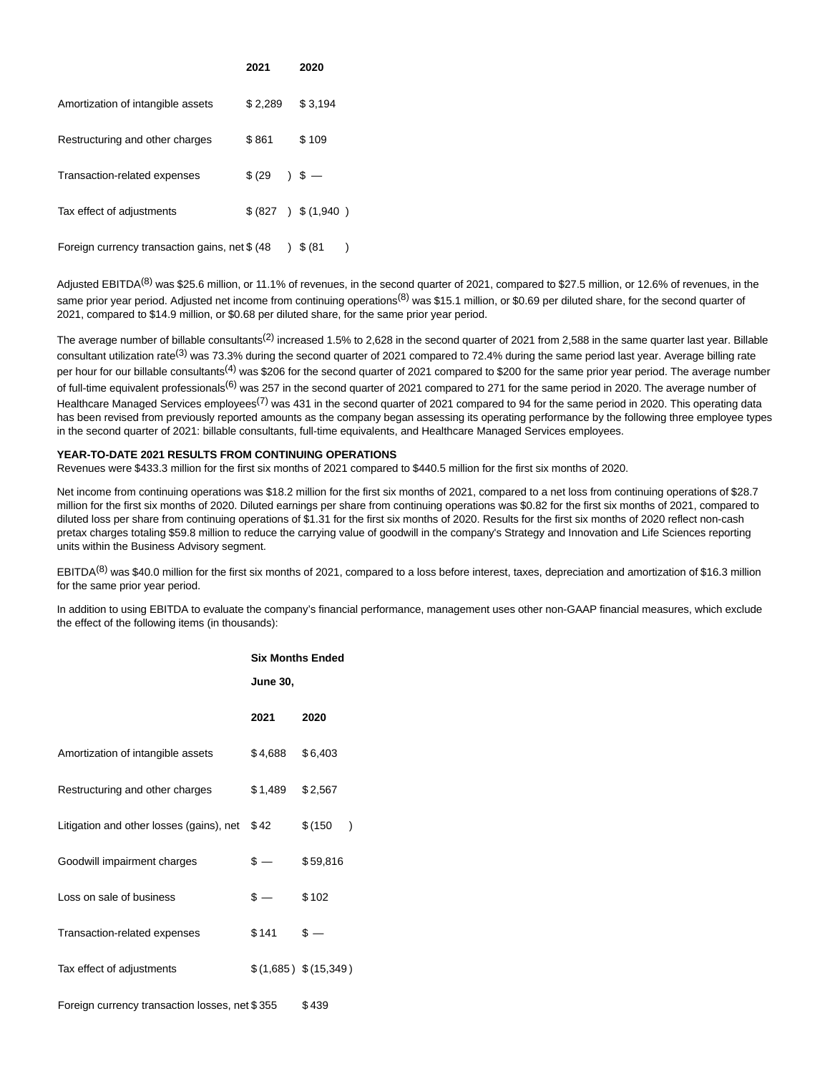|                                                 | 2021          | 2020                  |  |
|-------------------------------------------------|---------------|-----------------------|--|
| Amortization of intangible assets               | \$2,289       | \$3,194               |  |
| Restructuring and other charges                 | \$861         | \$109                 |  |
| Transaction-related expenses                    | $$ (29) $ -$$ |                       |  |
| Tax effect of adjustments                       |               | \$ (827 ) \$ (1,940 ) |  |
| Foreign currency transaction gains, net \$ (48) |               | 3(81)                 |  |

Adjusted EBITDA<sup>(8)</sup> was \$25.6 million, or 11.1% of revenues, in the second quarter of 2021, compared to \$27.5 million, or 12.6% of revenues, in the same prior year period. Adjusted net income from continuing operations<sup>(8)</sup> was \$15.1 million, or \$0.69 per diluted share, for the second quarter of 2021, compared to \$14.9 million, or \$0.68 per diluted share, for the same prior year period.

The average number of billable consultants<sup>(2)</sup> increased 1.5% to 2,628 in the second quarter of 2021 from 2,588 in the same quarter last year. Billable consultant utilization rate<sup>(3)</sup> was 73.3% during the second quarter of 2021 compared to 72.4% during the same period last year. Average billing rate per hour for our billable consultants<sup>(4)</sup> was \$206 for the second quarter of 2021 compared to \$200 for the same prior year period. The average number of full-time equivalent professionals<sup>(6)</sup> was 257 in the second quarter of 2021 compared to 271 for the same period in 2020. The average number of Healthcare Managed Services employees<sup>(7)</sup> was 431 in the second quarter of 2021 compared to 94 for the same period in 2020. This operating data has been revised from previously reported amounts as the company began assessing its operating performance by the following three employee types in the second quarter of 2021: billable consultants, full-time equivalents, and Healthcare Managed Services employees.

#### **YEAR-TO-DATE 2021 RESULTS FROM CONTINUING OPERATIONS**

Revenues were \$433.3 million for the first six months of 2021 compared to \$440.5 million for the first six months of 2020.

Net income from continuing operations was \$18.2 million for the first six months of 2021, compared to a net loss from continuing operations of \$28.7 million for the first six months of 2020. Diluted earnings per share from continuing operations was \$0.82 for the first six months of 2021, compared to diluted loss per share from continuing operations of \$1.31 for the first six months of 2020. Results for the first six months of 2020 reflect non-cash pretax charges totaling \$59.8 million to reduce the carrying value of goodwill in the company's Strategy and Innovation and Life Sciences reporting units within the Business Advisory segment.

 $EBITDA<sup>(8)</sup>$  was \$40.0 million for the first six months of 2021, compared to a loss before interest, taxes, depreciation and amortization of \$16.3 million for the same prior year period.

In addition to using EBITDA to evaluate the company's financial performance, management uses other non-GAAP financial measures, which exclude the effect of the following items (in thousands):

|                                                | <b>Six Months Ended</b> |                         |  |
|------------------------------------------------|-------------------------|-------------------------|--|
|                                                | <b>June 30,</b>         |                         |  |
|                                                | 2021                    | 2020                    |  |
| Amortization of intangible assets              | $$4,688$ $$6,403$       |                         |  |
| Restructuring and other charges                | $$1,489$ $$2,567$       |                         |  |
| Litigation and other losses (gains), net \$42  |                         | \$(150<br>$\mathcal{E}$ |  |
| Goodwill impairment charges                    | $s -$                   | \$59,816                |  |
| Loss on sale of business                       | $$ - $ \$102            |                         |  |
| Transaction-related expenses                   | \$141                   | $s -$                   |  |
| Tax effect of adjustments                      |                         | $$(1,685)$ $$(15,349)$  |  |
| Foreign currency transaction losses, net \$355 |                         | \$439                   |  |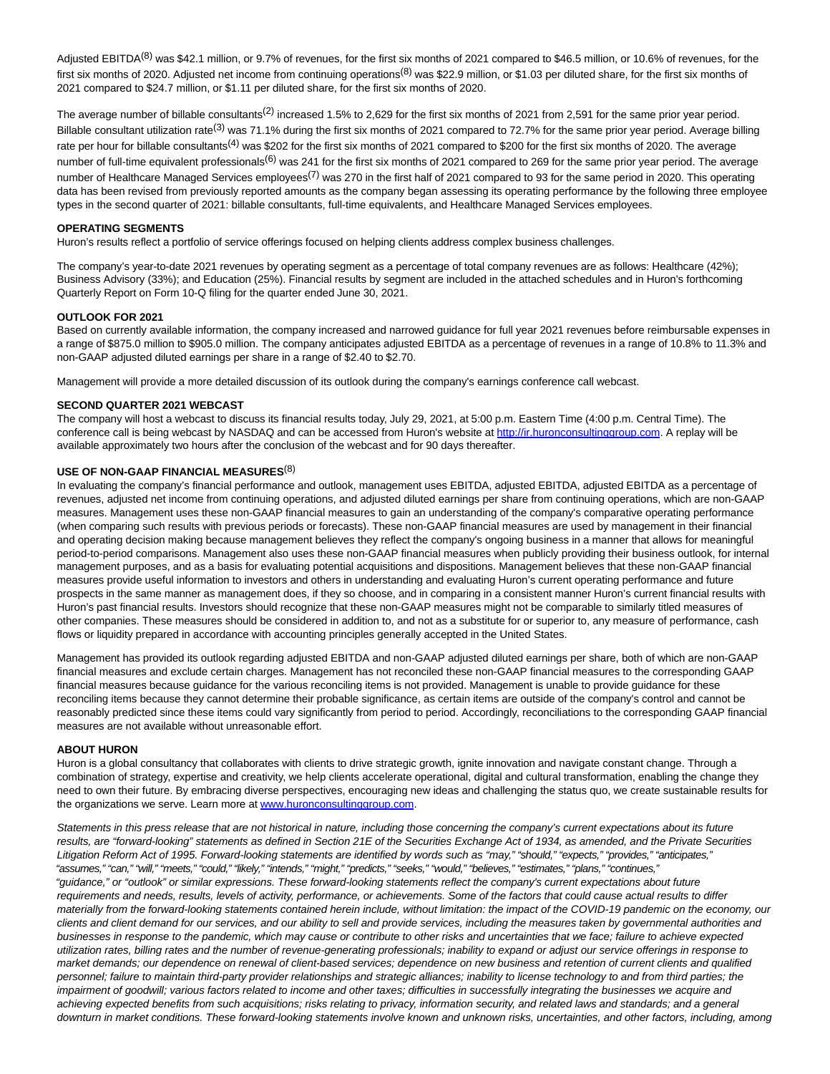Adjusted EBITDA<sup>(8)</sup> was \$42.1 million, or 9.7% of revenues, for the first six months of 2021 compared to \$46.5 million, or 10.6% of revenues, for the first six months of 2020. Adjusted net income from continuing operations<sup>(8)</sup> was \$22.9 million, or \$1.03 per diluted share, for the first six months of 2021 compared to \$24.7 million, or \$1.11 per diluted share, for the first six months of 2020.

The average number of billable consultants<sup>(2)</sup> increased 1.5% to 2,629 for the first six months of 2021 from 2,591 for the same prior year period. Billable consultant utilization rate<sup>(3)</sup> was 71.1% during the first six months of 2021 compared to 72.7% for the same prior year period. Average billing rate per hour for billable consultants<sup>(4)</sup> was \$202 for the first six months of 2021 compared to \$200 for the first six months of 2020. The average number of full-time equivalent professionals<sup>(6)</sup> was 241 for the first six months of 2021 compared to 269 for the same prior year period. The average number of Healthcare Managed Services employees<sup>(7)</sup> was 270 in the first half of 2021 compared to 93 for the same period in 2020. This operating data has been revised from previously reported amounts as the company began assessing its operating performance by the following three employee types in the second quarter of 2021: billable consultants, full-time equivalents, and Healthcare Managed Services employees.

#### **OPERATING SEGMENTS**

Huron's results reflect a portfolio of service offerings focused on helping clients address complex business challenges.

The company's year-to-date 2021 revenues by operating segment as a percentage of total company revenues are as follows: Healthcare (42%); Business Advisory (33%); and Education (25%). Financial results by segment are included in the attached schedules and in Huron's forthcoming Quarterly Report on Form 10-Q filing for the quarter ended June 30, 2021.

#### **OUTLOOK FOR 2021**

Based on currently available information, the company increased and narrowed guidance for full year 2021 revenues before reimbursable expenses in a range of \$875.0 million to \$905.0 million. The company anticipates adjusted EBITDA as a percentage of revenues in a range of 10.8% to 11.3% and non-GAAP adjusted diluted earnings per share in a range of \$2.40 to \$2.70.

Management will provide a more detailed discussion of its outlook during the company's earnings conference call webcast.

#### **SECOND QUARTER 2021 WEBCAST**

The company will host a webcast to discuss its financial results today, July 29, 2021, at 5:00 p.m. Eastern Time (4:00 p.m. Central Time). The conference call is being webcast by NASDAQ and can be accessed from Huron's website at [http://ir.huronconsultinggroup.com.](https://cts.businesswire.com/ct/CT?id=smartlink&url=http%3A%2F%2Fir.huronconsultinggroup.com&esheet=52467917&newsitemid=20210729006075&lan=en-US&anchor=http%3A%2F%2Fir.huronconsultinggroup.com&index=3&md5=43f4faab86b619ceee89770d7556f332) A replay will be available approximately two hours after the conclusion of the webcast and for 90 days thereafter.

#### **USE OF NON-GAAP FINANCIAL MEASURES**(8)

In evaluating the company's financial performance and outlook, management uses EBITDA, adjusted EBITDA, adjusted EBITDA as a percentage of revenues, adjusted net income from continuing operations, and adjusted diluted earnings per share from continuing operations, which are non-GAAP measures. Management uses these non-GAAP financial measures to gain an understanding of the company's comparative operating performance (when comparing such results with previous periods or forecasts). These non-GAAP financial measures are used by management in their financial and operating decision making because management believes they reflect the company's ongoing business in a manner that allows for meaningful period-to-period comparisons. Management also uses these non-GAAP financial measures when publicly providing their business outlook, for internal management purposes, and as a basis for evaluating potential acquisitions and dispositions. Management believes that these non-GAAP financial measures provide useful information to investors and others in understanding and evaluating Huron's current operating performance and future prospects in the same manner as management does, if they so choose, and in comparing in a consistent manner Huron's current financial results with Huron's past financial results. Investors should recognize that these non-GAAP measures might not be comparable to similarly titled measures of other companies. These measures should be considered in addition to, and not as a substitute for or superior to, any measure of performance, cash flows or liquidity prepared in accordance with accounting principles generally accepted in the United States.

Management has provided its outlook regarding adjusted EBITDA and non-GAAP adjusted diluted earnings per share, both of which are non-GAAP financial measures and exclude certain charges. Management has not reconciled these non-GAAP financial measures to the corresponding GAAP financial measures because guidance for the various reconciling items is not provided. Management is unable to provide guidance for these reconciling items because they cannot determine their probable significance, as certain items are outside of the company's control and cannot be reasonably predicted since these items could vary significantly from period to period. Accordingly, reconciliations to the corresponding GAAP financial measures are not available without unreasonable effort.

#### **ABOUT HURON**

Huron is a global consultancy that collaborates with clients to drive strategic growth, ignite innovation and navigate constant change. Through a combination of strategy, expertise and creativity, we help clients accelerate operational, digital and cultural transformation, enabling the change they need to own their future. By embracing diverse perspectives, encouraging new ideas and challenging the status quo, we create sustainable results for the organizations we serve. Learn more a[t www.huronconsultinggroup.com.](https://cts.businesswire.com/ct/CT?id=smartlink&url=http%3A%2F%2Fwww.huronconsultinggroup.com&esheet=52467917&newsitemid=20210729006075&lan=en-US&anchor=www.huronconsultinggroup.com&index=4&md5=3531f86568a3de1ae9558d3538179c97)

Statements in this press release that are not historical in nature, including those concerning the company's current expectations about its future results, are "forward-looking" statements as defined in Section 21E of the Securities Exchange Act of 1934, as amended, and the Private Securities Litigation Reform Act of 1995. Forward-looking statements are identified by words such as "may," "should," "expects," "provides," "anticipates," "assumes," "can," "will," "meets," "could," "likely," "intends," "might," "predicts," "seeks," "would," "believes," "estimates," "plans," "continues," "guidance," or "outlook" or similar expressions. These forward-looking statements reflect the company's current expectations about future requirements and needs, results, levels of activity, performance, or achievements. Some of the factors that could cause actual results to differ materially from the forward-looking statements contained herein include, without limitation: the impact of the COVID-19 pandemic on the economy, our clients and client demand for our services, and our ability to sell and provide services, including the measures taken by governmental authorities and businesses in response to the pandemic, which may cause or contribute to other risks and uncertainties that we face; failure to achieve expected utilization rates, billing rates and the number of revenue-generating professionals; inability to expand or adjust our service offerings in response to market demands; our dependence on renewal of client-based services; dependence on new business and retention of current clients and qualified personnel; failure to maintain third-party provider relationships and strategic alliances; inability to license technology to and from third parties; the impairment of goodwill; various factors related to income and other taxes; difficulties in successfully integrating the businesses we acquire and achieving expected benefits from such acquisitions; risks relating to privacy, information security, and related laws and standards; and a general downturn in market conditions. These forward-looking statements involve known and unknown risks, uncertainties, and other factors, including, among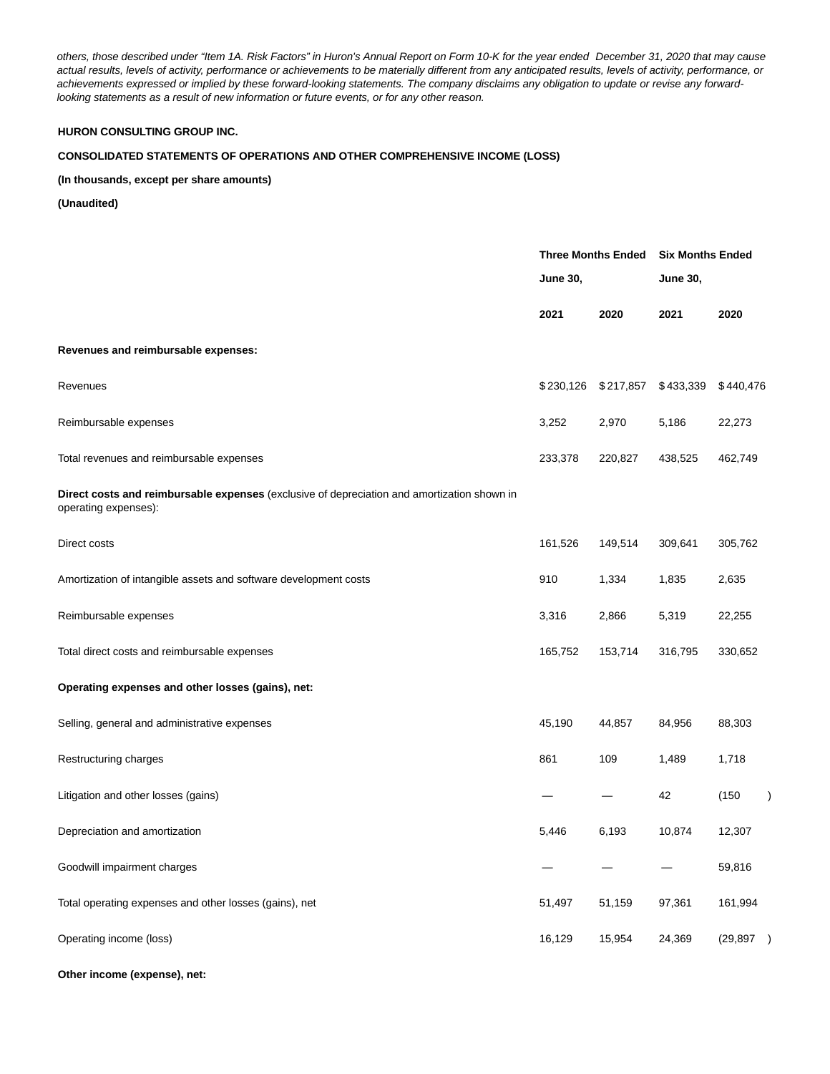others, those described under "Item 1A. Risk Factors" in Huron's Annual Report on Form 10-K for the year ended December 31, 2020 that may cause actual results, levels of activity, performance or achievements to be materially different from any anticipated results, levels of activity, performance, or achievements expressed or implied by these forward-looking statements. The company disclaims any obligation to update or revise any forwardlooking statements as a result of new information or future events, or for any other reason.

#### **HURON CONSULTING GROUP INC.**

## **CONSOLIDATED STATEMENTS OF OPERATIONS AND OTHER COMPREHENSIVE INCOME (LOSS)**

#### **(In thousands, except per share amounts)**

**(Unaudited)**

|                                                                                                                     | <b>Three Months Ended</b><br><b>June 30,</b> |                     | <b>Six Months Ended</b><br><b>June 30,</b> |           |               |
|---------------------------------------------------------------------------------------------------------------------|----------------------------------------------|---------------------|--------------------------------------------|-----------|---------------|
|                                                                                                                     | 2021                                         | 2020                | 2021                                       | 2020      |               |
| Revenues and reimbursable expenses:                                                                                 |                                              |                     |                                            |           |               |
| Revenues                                                                                                            | \$230,126                                    | \$217,857 \$433,339 |                                            | \$440,476 |               |
| Reimbursable expenses                                                                                               | 3,252                                        | 2,970               | 5,186                                      | 22,273    |               |
| Total revenues and reimbursable expenses                                                                            | 233,378                                      | 220,827             | 438,525                                    | 462,749   |               |
| Direct costs and reimbursable expenses (exclusive of depreciation and amortization shown in<br>operating expenses): |                                              |                     |                                            |           |               |
| Direct costs                                                                                                        | 161,526                                      | 149,514             | 309,641                                    | 305,762   |               |
| Amortization of intangible assets and software development costs                                                    | 910                                          | 1,334               | 1,835                                      | 2,635     |               |
| Reimbursable expenses                                                                                               | 3,316                                        | 2,866               | 5,319                                      | 22,255    |               |
| Total direct costs and reimbursable expenses                                                                        | 165,752                                      | 153,714             | 316,795                                    | 330,652   |               |
| Operating expenses and other losses (gains), net:                                                                   |                                              |                     |                                            |           |               |
| Selling, general and administrative expenses                                                                        | 45,190                                       | 44,857              | 84,956                                     | 88,303    |               |
| Restructuring charges                                                                                               | 861                                          | 109                 | 1,489                                      | 1,718     |               |
| Litigation and other losses (gains)                                                                                 |                                              |                     | 42                                         | (150)     | $\mathcal{E}$ |
| Depreciation and amortization                                                                                       | 5,446                                        | 6,193               | 10,874                                     | 12,307    |               |
| Goodwill impairment charges                                                                                         |                                              |                     |                                            | 59,816    |               |
| Total operating expenses and other losses (gains), net                                                              | 51,497                                       | 51,159              | 97,361                                     | 161,994   |               |
| Operating income (loss)                                                                                             | 16,129                                       | 15,954              | 24,369                                     | (29, 897) |               |

**Other income (expense), net:**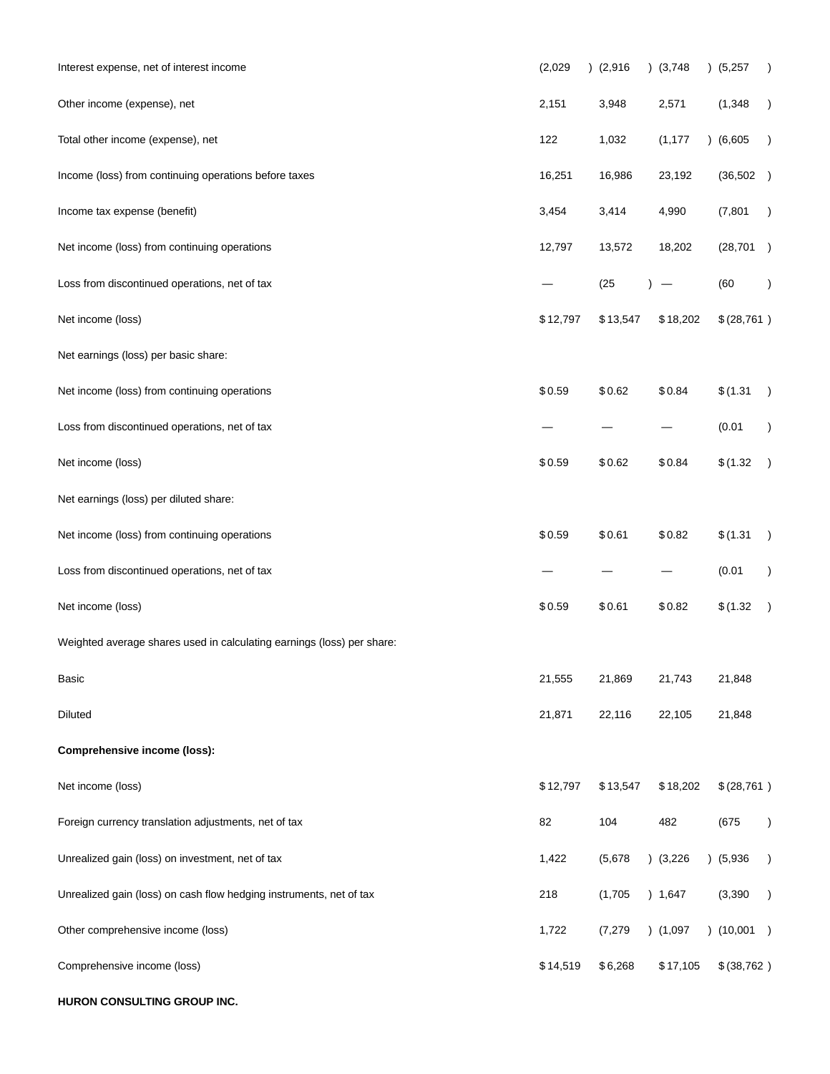| Interest expense, net of interest income                               | (2,029)  | $)$ (2,916) | )(3,748)    | (5,257)<br>$\lambda$      |           |
|------------------------------------------------------------------------|----------|-------------|-------------|---------------------------|-----------|
| Other income (expense), net                                            | 2,151    | 3,948       | 2,571       | (1, 348)<br>$\rightarrow$ |           |
| Total other income (expense), net                                      | 122      | 1,032       | (1, 177)    | $)$ (6,605)<br>$\lambda$  |           |
| Income (loss) from continuing operations before taxes                  | 16,251   | 16,986      | 23,192      | (36, 502)                 |           |
| Income tax expense (benefit)                                           | 3,454    | 3,414       | 4,990       | (7, 801)<br>$\rightarrow$ |           |
| Net income (loss) from continuing operations                           | 12,797   | 13,572      | 18,202      | (28, 701)                 |           |
| Loss from discontinued operations, net of tax                          |          | (25)        |             | (60)<br>$\lambda$         |           |
| Net income (loss)                                                      | \$12,797 | \$13,547    | \$18,202    | \$(28,761)                |           |
| Net earnings (loss) per basic share:                                   |          |             |             |                           |           |
| Net income (loss) from continuing operations                           | \$0.59   | \$0.62      | \$0.84      | \$(1.31)<br>$\rightarrow$ |           |
| Loss from discontinued operations, net of tax                          |          |             |             | (0.01)                    | $\lambda$ |
| Net income (loss)                                                      | \$0.59   | \$0.62      | \$0.84      | \$(1.32)<br>$\rightarrow$ |           |
| Net earnings (loss) per diluted share:                                 |          |             |             |                           |           |
| Net income (loss) from continuing operations                           | \$0.59   | \$0.61      | \$0.82      | \$(1.31)<br>$\rightarrow$ |           |
| Loss from discontinued operations, net of tax                          |          |             |             | (0.01)<br>$\lambda$       |           |
| Net income (loss)                                                      | \$0.59   | \$0.61      | \$0.82      | \$(1.32)<br>$\rightarrow$ |           |
| Weighted average shares used in calculating earnings (loss) per share: |          |             |             |                           |           |
| Basic                                                                  | 21,555   | 21,869      | 21,743      | 21,848                    |           |
| Diluted                                                                | 21,871   | 22,116      | 22,105      | 21,848                    |           |
| Comprehensive income (loss):                                           |          |             |             |                           |           |
| Net income (loss)                                                      | \$12,797 | \$13,547    | \$18,202    | \$(28,761)                |           |
| Foreign currency translation adjustments, net of tax                   | 82       | 104         | 482         | (675)<br>$\lambda$        |           |
| Unrealized gain (loss) on investment, net of tax                       | 1,422    | (5,678)     | $)$ (3,226) | (5,936)<br>$\lambda$      |           |
| Unrealized gain (loss) on cash flow hedging instruments, net of tax    | 218      | (1,705)     | ) 1,647     | (3, 390)<br>$\rightarrow$ |           |
| Other comprehensive income (loss)                                      | 1,722    | (7, 279)    | (1,097)     | (10,001)                  |           |
| Comprehensive income (loss)                                            | \$14,519 | \$6,268     | \$17,105    | \$ (38, 762)              |           |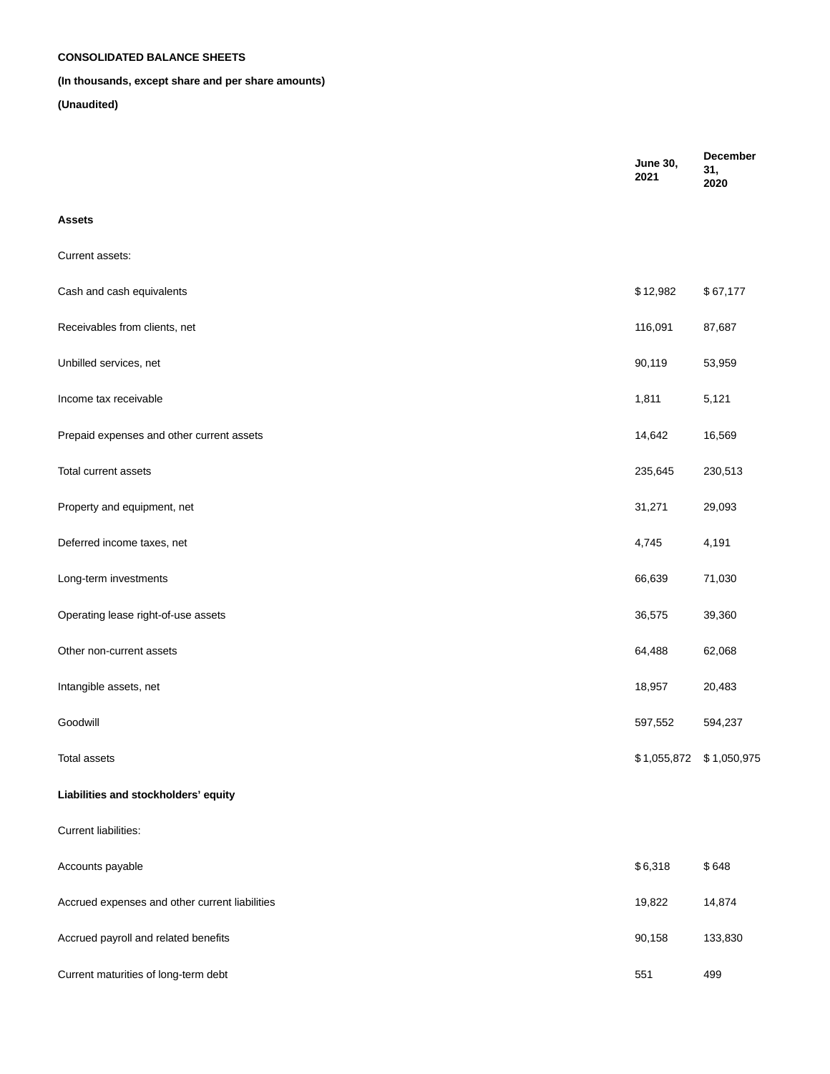## **CONSOLIDATED BALANCE SHEETS**

## **(In thousands, except share and per share amounts)**

|                                                | <b>June 30,</b><br>2021 | <b>December</b><br>31,<br>2020 |
|------------------------------------------------|-------------------------|--------------------------------|
| <b>Assets</b>                                  |                         |                                |
| Current assets:                                |                         |                                |
| Cash and cash equivalents                      | \$12,982                | \$67,177                       |
| Receivables from clients, net                  | 116,091                 | 87,687                         |
| Unbilled services, net                         | 90,119                  | 53,959                         |
| Income tax receivable                          | 1,811                   | 5,121                          |
| Prepaid expenses and other current assets      | 14,642                  | 16,569                         |
| Total current assets                           | 235,645                 | 230,513                        |
| Property and equipment, net                    | 31,271                  | 29,093                         |
| Deferred income taxes, net                     | 4,745                   | 4,191                          |
| Long-term investments                          | 66,639                  | 71,030                         |
| Operating lease right-of-use assets            | 36,575                  | 39,360                         |
| Other non-current assets                       | 64,488                  | 62,068                         |
| Intangible assets, net                         | 18,957                  | 20,483                         |
| Goodwill                                       | 597,552                 | 594,237                        |
| <b>Total assets</b>                            | \$1,055,872 \$1,050,975 |                                |
| Liabilities and stockholders' equity           |                         |                                |
| Current liabilities:                           |                         |                                |
| Accounts payable                               | \$6,318                 | \$648                          |
| Accrued expenses and other current liabilities | 19,822                  | 14,874                         |
| Accrued payroll and related benefits           | 90,158                  | 133,830                        |
| Current maturities of long-term debt           | 551                     | 499                            |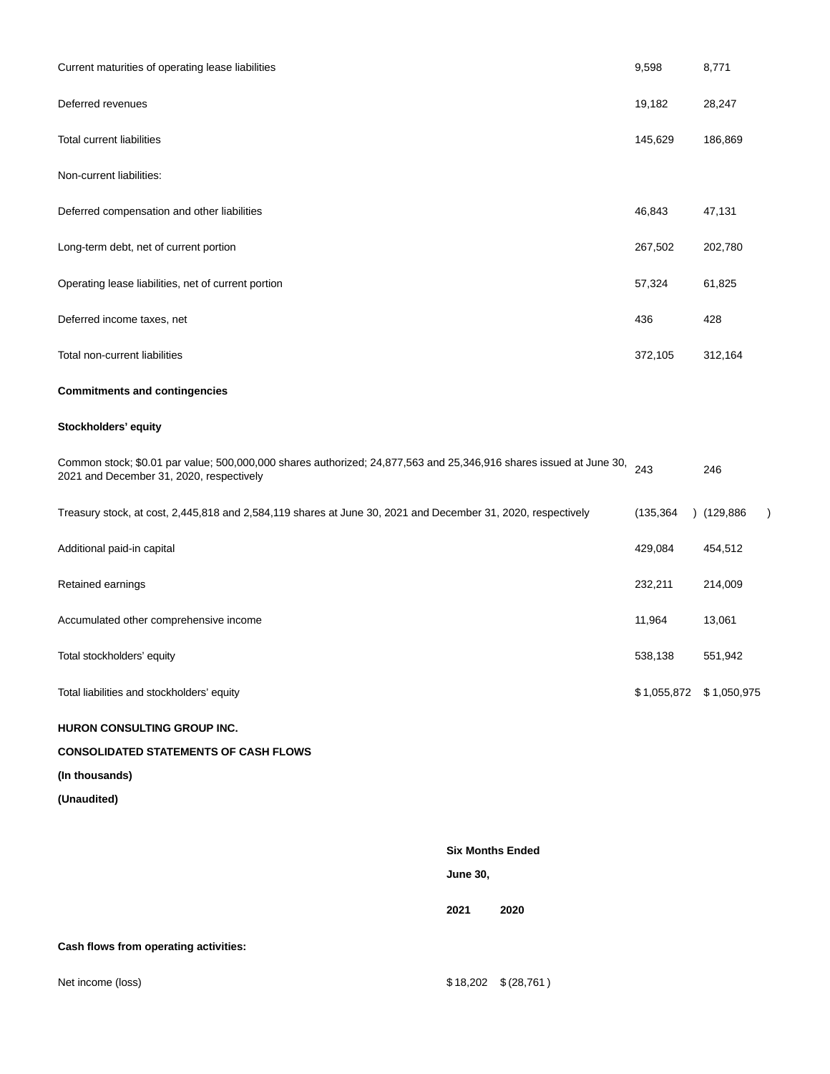| Current maturities of operating lease liabilities                                                                                                              |                         |             | 9,598   | 8,771                   |
|----------------------------------------------------------------------------------------------------------------------------------------------------------------|-------------------------|-------------|---------|-------------------------|
| Deferred revenues                                                                                                                                              |                         |             | 19,182  | 28,247                  |
| <b>Total current liabilities</b>                                                                                                                               |                         |             | 145,629 | 186,869                 |
| Non-current liabilities:                                                                                                                                       |                         |             |         |                         |
| Deferred compensation and other liabilities                                                                                                                    |                         |             | 46,843  | 47,131                  |
| Long-term debt, net of current portion                                                                                                                         |                         |             | 267,502 | 202,780                 |
| Operating lease liabilities, net of current portion                                                                                                            |                         |             | 57,324  | 61,825                  |
| Deferred income taxes, net                                                                                                                                     |                         |             | 436     | 428                     |
| Total non-current liabilities                                                                                                                                  |                         |             | 372,105 | 312,164                 |
| <b>Commitments and contingencies</b>                                                                                                                           |                         |             |         |                         |
| Stockholders' equity                                                                                                                                           |                         |             |         |                         |
| Common stock; \$0.01 par value; 500,000,000 shares authorized; 24,877,563 and 25,346,916 shares issued at June 30,<br>2021 and December 31, 2020, respectively |                         |             | 243     | 246                     |
| Treasury stock, at cost, 2,445,818 and 2,584,119 shares at June 30, 2021 and December 31, 2020, respectively                                                   |                         |             |         | ) (129,886              |
| Additional paid-in capital                                                                                                                                     |                         |             |         | 454,512                 |
| Retained earnings                                                                                                                                              |                         |             | 232,211 | 214,009                 |
| Accumulated other comprehensive income                                                                                                                         |                         |             | 11,964  | 13,061                  |
| Total stockholders' equity                                                                                                                                     |                         |             | 538,138 | 551,942                 |
| Total liabilities and stockholders' equity                                                                                                                     |                         |             |         | \$1,055,872 \$1,050,975 |
| HURON CONSULTING GROUP INC.                                                                                                                                    |                         |             |         |                         |
| <b>CONSOLIDATED STATEMENTS OF CASH FLOWS</b>                                                                                                                   |                         |             |         |                         |
| (In thousands)                                                                                                                                                 |                         |             |         |                         |
| (Unaudited)                                                                                                                                                    |                         |             |         |                         |
|                                                                                                                                                                |                         |             |         |                         |
|                                                                                                                                                                | <b>Six Months Ended</b> |             |         |                         |
|                                                                                                                                                                | <b>June 30,</b>         |             |         |                         |
|                                                                                                                                                                | 2021                    | 2020        |         |                         |
| Cash flows from operating activities:                                                                                                                          |                         |             |         |                         |
| Net income (loss)                                                                                                                                              | \$18,202                | \$(28, 761) |         |                         |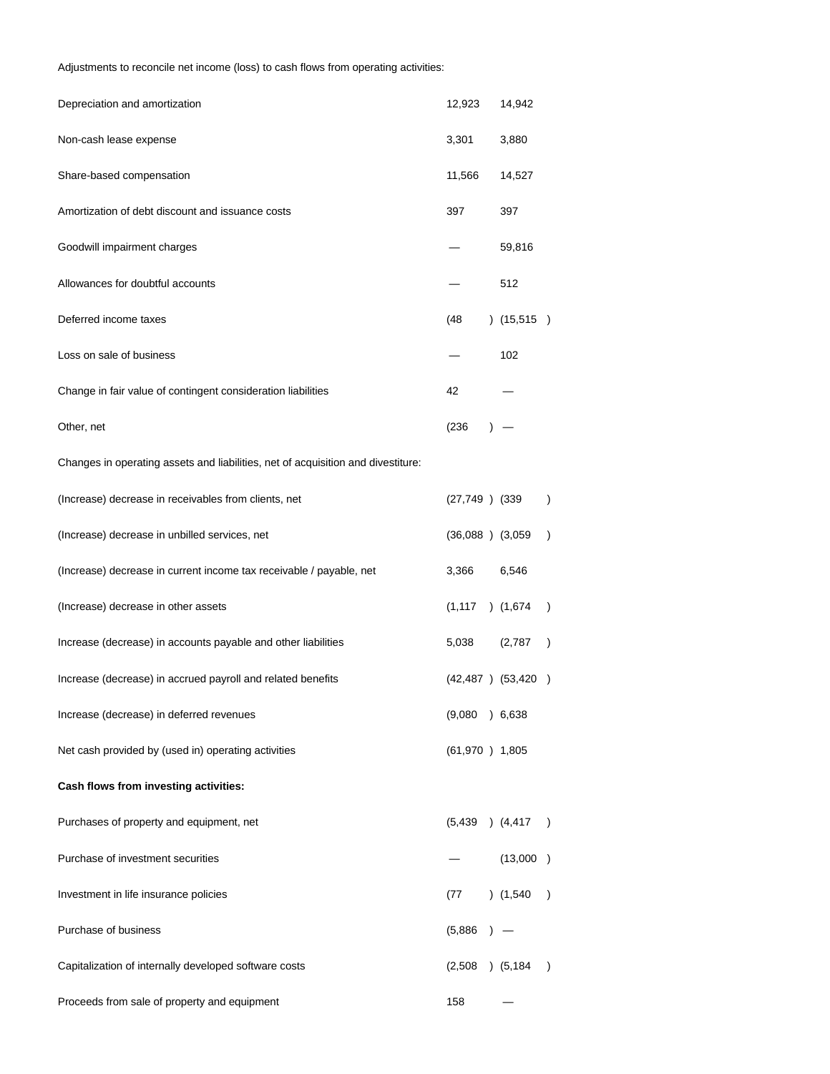Adjustments to reconcile net income (loss) to cash flows from operating activities:

| Depreciation and amortization                                                    | 12,923               |           | 14,942                  |               |
|----------------------------------------------------------------------------------|----------------------|-----------|-------------------------|---------------|
| Non-cash lease expense                                                           | 3,301                |           | 3,880                   |               |
| Share-based compensation                                                         | 11,566               |           | 14,527                  |               |
| Amortization of debt discount and issuance costs                                 | 397                  |           | 397                     |               |
| Goodwill impairment charges                                                      |                      |           | 59,816                  |               |
| Allowances for doubtful accounts                                                 |                      |           | 512                     |               |
| Deferred income taxes                                                            | (48                  |           | (15,515)                |               |
| Loss on sale of business                                                         |                      |           | 102                     |               |
| Change in fair value of contingent consideration liabilities                     | 42                   |           |                         |               |
| Other, net                                                                       | (236)                |           |                         |               |
| Changes in operating assets and liabilities, net of acquisition and divestiture: |                      |           |                         |               |
| (Increase) decrease in receivables from clients, net                             | $(27,749)$ (339)     |           |                         | $\lambda$     |
| (Increase) decrease in unbilled services, net                                    | $(36,088)$ $(3,059)$ |           |                         | $\lambda$     |
| (Increase) decrease in current income tax receivable / payable, net              | 3,366                |           | 6,546                   |               |
| (Increase) decrease in other assets                                              | (1, 117)             |           | (1,674)                 | $\lambda$     |
| Increase (decrease) in accounts payable and other liabilities                    | 5,038                |           | (2,787)                 | $\lambda$     |
| Increase (decrease) in accrued payroll and related benefits                      |                      |           | $(42, 487)$ $(53, 420)$ | $\rightarrow$ |
| Increase (decrease) in deferred revenues                                         | (9,080)              |           | 6,638                   |               |
| Net cash provided by (used in) operating activities                              | $(61,970)$ 1,805     |           |                         |               |
| Cash flows from investing activities:                                            |                      |           |                         |               |
| Purchases of property and equipment, net                                         | (5, 439)             |           | (4, 417)                | $\lambda$     |
|                                                                                  |                      |           |                         |               |
| Purchase of investment securities                                                |                      |           | (13,000)                |               |
| Investment in life insurance policies                                            | (77                  |           | (1,540)                 | $\lambda$     |
| Purchase of business                                                             | (5,886)              | $\lambda$ |                         |               |
| Capitalization of internally developed software costs                            | (2,508)              |           | (5, 184)                | $\lambda$     |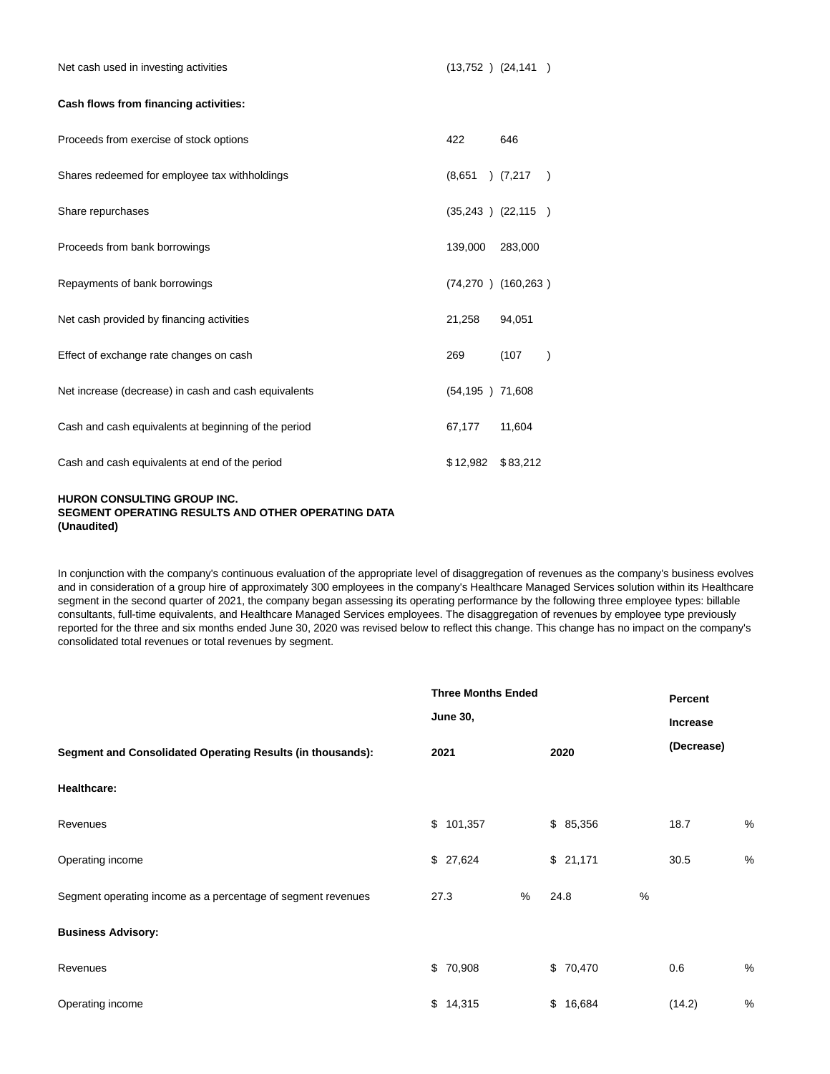| Net cash used in investing activities                | $(13,752)$ $(24,141)$  |          |               |
|------------------------------------------------------|------------------------|----------|---------------|
| Cash flows from financing activities:                |                        |          |               |
| Proceeds from exercise of stock options              | 422                    | 646      |               |
| Shares redeemed for employee tax withholdings        | (8,651)                | (7,217)  | $\rightarrow$ |
| Share repurchases                                    | $(35,243)$ $(22,115)$  |          |               |
| Proceeds from bank borrowings                        | 139,000                | 283,000  |               |
| Repayments of bank borrowings                        | $(74,270)$ $(160,263)$ |          |               |
| Net cash provided by financing activities            | 21,258                 | 94,051   |               |
| Effect of exchange rate changes on cash              | 269                    | (107)    | $\lambda$     |
| Net increase (decrease) in cash and cash equivalents | $(54, 195)$ 71,608     |          |               |
| Cash and cash equivalents at beginning of the period | 67,177                 | 11,604   |               |
| Cash and cash equivalents at end of the period       | \$12,982               | \$83,212 |               |

#### **HURON CONSULTING GROUP INC. SEGMENT OPERATING RESULTS AND OTHER OPERATING DATA (Unaudited)**

In conjunction with the company's continuous evaluation of the appropriate level of disaggregation of revenues as the company's business evolves and in consideration of a group hire of approximately 300 employees in the company's Healthcare Managed Services solution within its Healthcare segment in the second quarter of 2021, the company began assessing its operating performance by the following three employee types: billable consultants, full-time equivalents, and Healthcare Managed Services employees. The disaggregation of revenues by employee type previously reported for the three and six months ended June 30, 2020 was revised below to reflect this change. This change has no impact on the company's consolidated total revenues or total revenues by segment.

|                                                              | <b>Three Months Ended</b> | Percent   |            |      |
|--------------------------------------------------------------|---------------------------|-----------|------------|------|
|                                                              | <b>June 30,</b>           | Increase  |            |      |
| Segment and Consolidated Operating Results (in thousands):   | 2021                      | 2020      | (Decrease) |      |
| Healthcare:                                                  |                           |           |            |      |
| Revenues                                                     | \$101,357                 | \$85,356  | 18.7       | %    |
| Operating income                                             | \$27,624                  | \$21,171  | 30.5       | %    |
| Segment operating income as a percentage of segment revenues | %<br>27.3                 | 24.8<br>% |            |      |
| <b>Business Advisory:</b>                                    |                           |           |            |      |
| Revenues                                                     | \$70,908                  | \$70,470  | 0.6        | %    |
| Operating income                                             | \$14,315                  | \$16,684  | (14.2)     | $\%$ |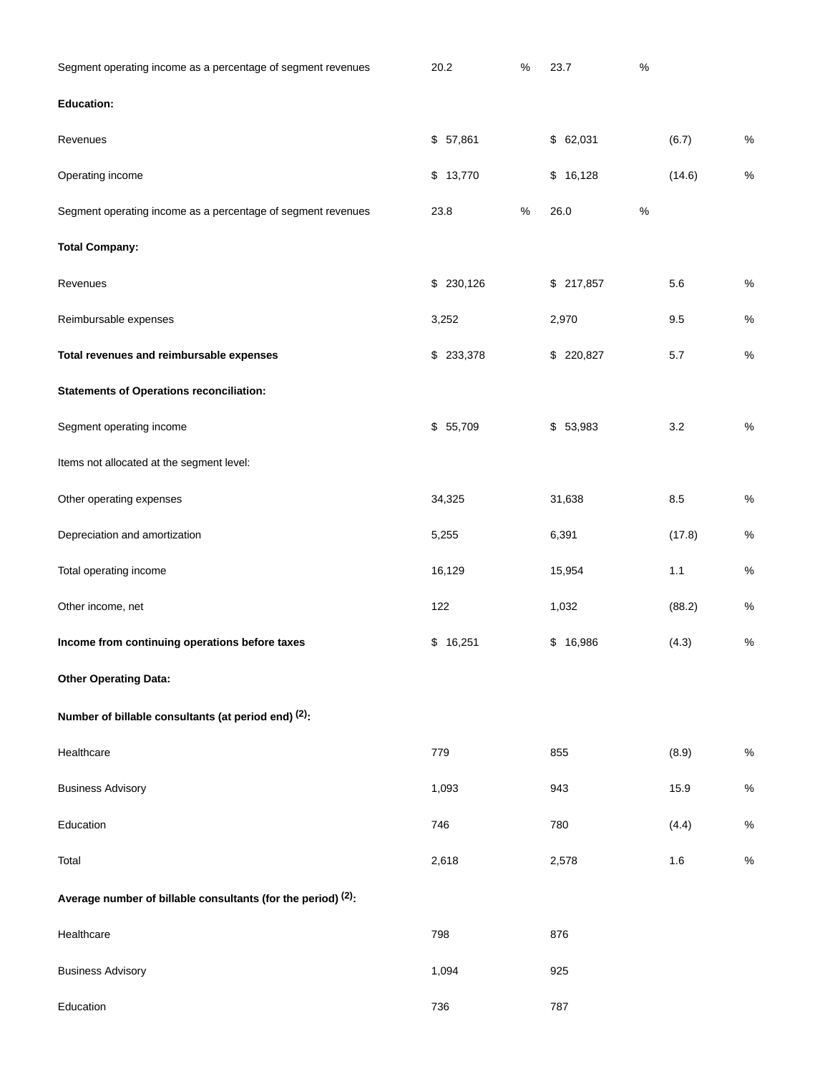| Segment operating income as a percentage of segment revenues | 20.2       | %    | 23.7       | %    |        |      |
|--------------------------------------------------------------|------------|------|------------|------|--------|------|
| <b>Education:</b>                                            |            |      |            |      |        |      |
| Revenues                                                     | \$57,861   |      | \$62,031   |      | (6.7)  | $\%$ |
| Operating income                                             | \$13,770   |      | \$16,128   |      | (14.6) | $\%$ |
| Segment operating income as a percentage of segment revenues | 23.8       | $\%$ | 26.0       | $\%$ |        |      |
| <b>Total Company:</b>                                        |            |      |            |      |        |      |
| Revenues                                                     | \$230,126  |      | \$ 217,857 |      | 5.6    | $\%$ |
| Reimbursable expenses                                        | 3,252      |      | 2,970      |      | 9.5    | $\%$ |
| Total revenues and reimbursable expenses                     | \$ 233,378 |      | \$ 220,827 |      | 5.7    | $\%$ |
| <b>Statements of Operations reconciliation:</b>              |            |      |            |      |        |      |
| Segment operating income                                     | \$ 55,709  |      | \$53,983   |      | 3.2    | $\%$ |
| Items not allocated at the segment level:                    |            |      |            |      |        |      |
| Other operating expenses                                     | 34,325     |      | 31,638     |      | 8.5    | $\%$ |
| Depreciation and amortization                                | 5,255      |      | 6,391      |      | (17.8) | $\%$ |
| Total operating income                                       | 16,129     |      | 15,954     |      | 1.1    | $\%$ |
| Other income, net                                            | 122        |      | 1,032      |      | (88.2) | $\%$ |
| Income from continuing operations before taxes               | \$16,251   |      | \$16,986   |      | (4.3)  | $\%$ |
| <b>Other Operating Data:</b>                                 |            |      |            |      |        |      |
| Number of billable consultants (at period end) (2):          |            |      |            |      |        |      |
| Healthcare                                                   | 779        |      | 855        |      | (8.9)  | $\%$ |
| <b>Business Advisory</b>                                     | 1,093      |      | 943        |      | 15.9   | $\%$ |
| Education                                                    | 746        |      | 780        |      | (4.4)  | $\%$ |
| Total                                                        | 2,618      |      | 2,578      |      | 1.6    | $\%$ |
| Average number of billable consultants (for the period) (2): |            |      |            |      |        |      |
| Healthcare                                                   | 798        |      | 876        |      |        |      |
| <b>Business Advisory</b>                                     | 1,094      |      | 925        |      |        |      |
| Education                                                    | 736        |      | 787        |      |        |      |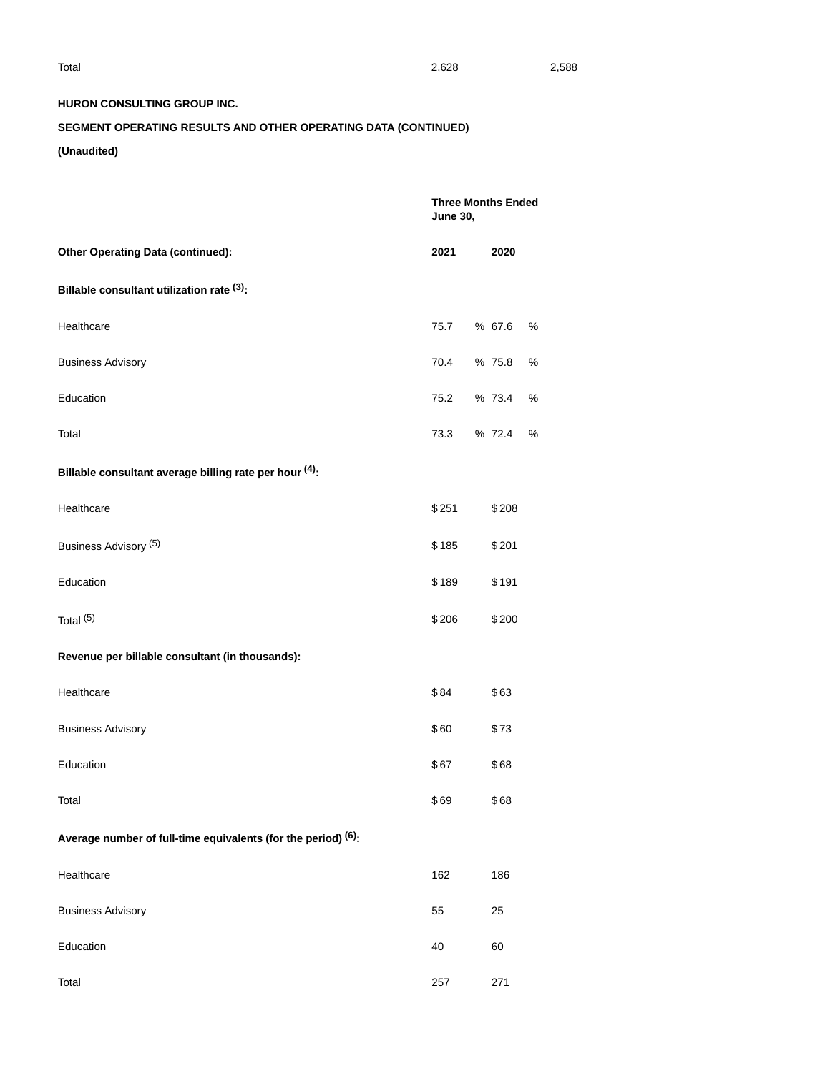## **SEGMENT OPERATING RESULTS AND OTHER OPERATING DATA (CONTINUED)**

|                                                               | <b>Three Months Ended</b><br><b>June 30,</b> |  |        |               |
|---------------------------------------------------------------|----------------------------------------------|--|--------|---------------|
| <b>Other Operating Data (continued):</b>                      | 2021                                         |  | 2020   |               |
| Billable consultant utilization rate (3):                     |                                              |  |        |               |
| Healthcare                                                    | 75.7                                         |  | % 67.6 | %             |
| <b>Business Advisory</b>                                      | 70.4                                         |  | % 75.8 | %             |
| Education                                                     | 75.2                                         |  | % 73.4 | %             |
| Total                                                         | 73.3                                         |  | % 72.4 | $\frac{0}{0}$ |
| Billable consultant average billing rate per hour (4):        |                                              |  |        |               |
| Healthcare                                                    | \$251                                        |  | \$208  |               |
| Business Advisory (5)                                         | \$185                                        |  | \$201  |               |
| Education                                                     | \$189                                        |  | \$191  |               |
| Total <sup>(5)</sup>                                          | \$206                                        |  | \$200  |               |
| Revenue per billable consultant (in thousands):               |                                              |  |        |               |
| Healthcare                                                    | \$84                                         |  | \$63   |               |
| <b>Business Advisory</b>                                      | \$60                                         |  | \$73   |               |
| Education                                                     | \$67                                         |  | \$68   |               |
| Total                                                         | \$69                                         |  | \$68   |               |
| Average number of full-time equivalents (for the period) (6): |                                              |  |        |               |
| Healthcare                                                    | 162                                          |  | 186    |               |
| <b>Business Advisory</b>                                      | 55                                           |  | 25     |               |
| Education                                                     | 40                                           |  | 60     |               |
| Total                                                         | 257                                          |  | 271    |               |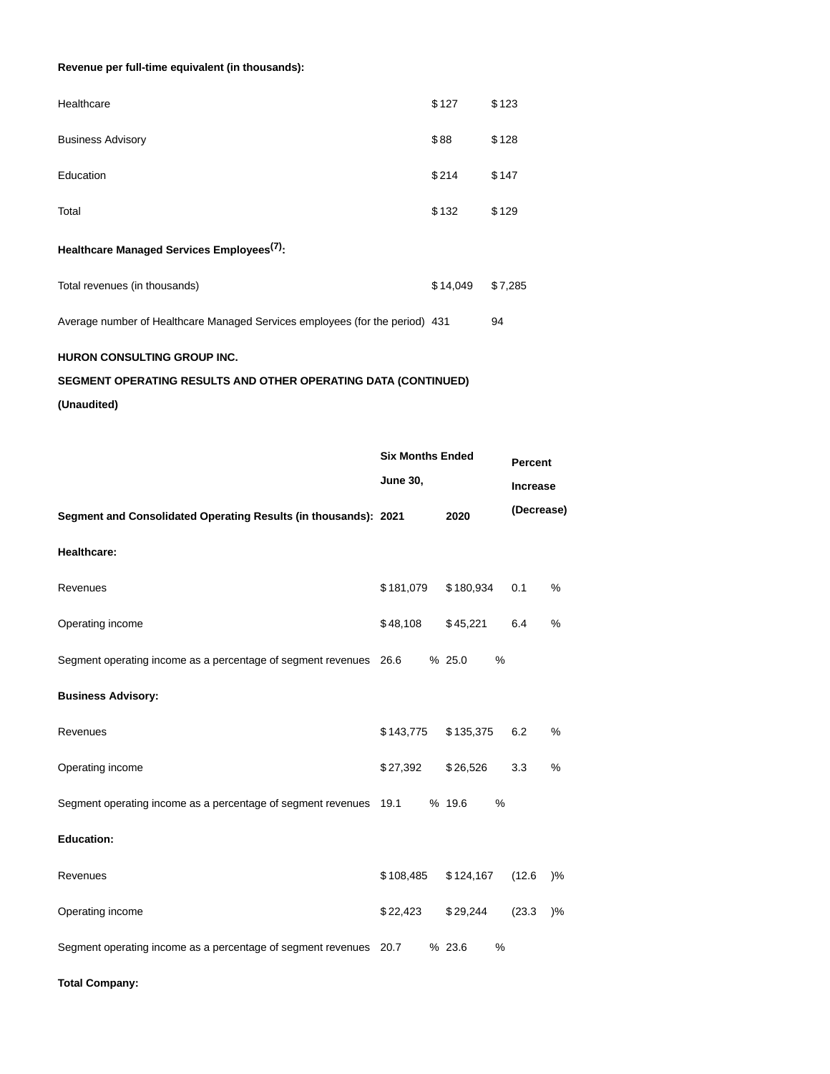## **Revenue per full-time equivalent (in thousands):**

| Healthcare                                                                   |                         | \$127     | \$123           |            |
|------------------------------------------------------------------------------|-------------------------|-----------|-----------------|------------|
| <b>Business Advisory</b>                                                     |                         | \$88      | \$128           |            |
| Education                                                                    |                         | \$214     | \$147           |            |
| Total                                                                        |                         | \$132     | \$129           |            |
| Healthcare Managed Services Employees <sup>(7)</sup> :                       |                         |           |                 |            |
| Total revenues (in thousands)                                                |                         | \$14,049  | \$7,285         |            |
| Average number of Healthcare Managed Services employees (for the period) 431 |                         |           | 94              |            |
| HURON CONSULTING GROUP INC.                                                  |                         |           |                 |            |
| SEGMENT OPERATING RESULTS AND OTHER OPERATING DATA (CONTINUED)               |                         |           |                 |            |
| (Unaudited)                                                                  |                         |           |                 |            |
|                                                                              | <b>Six Months Ended</b> |           | <b>Percent</b>  |            |
|                                                                              | <b>June 30,</b>         |           | <b>Increase</b> |            |
| Segment and Consolidated Operating Results (in thousands): 2021              |                         | 2020      |                 | (Decrease) |
| Healthcare:                                                                  |                         |           |                 |            |
| Revenues                                                                     | \$181,079               | \$180,934 | 0.1             | %          |
| Operating income                                                             | \$48,108                | \$45,221  | 6.4             | %          |

| Segment operating income as a percentage of segment revenues 26.6 |           | % 25.0    | % |        |               |
|-------------------------------------------------------------------|-----------|-----------|---|--------|---------------|
| <b>Business Advisory:</b>                                         |           |           |   |        |               |
| Revenues                                                          | \$143,775 | \$135,375 |   | 6.2    | %             |
| Operating income                                                  | \$27,392  | \$26,526  |   | 3.3    | %             |
| Segment operating income as a percentage of segment revenues 19.1 |           | % 19.6    | % |        |               |
| <b>Education:</b>                                                 |           |           |   |        |               |
| Revenues                                                          | \$108,485 | \$124,167 |   | (12.6) | $\frac{9}{6}$ |

Operating income **\$22,423** \$29,244 (23.3 )% Segment operating income as a percentage of segment revenues 20.7 % 23.6 %

**Total Company:**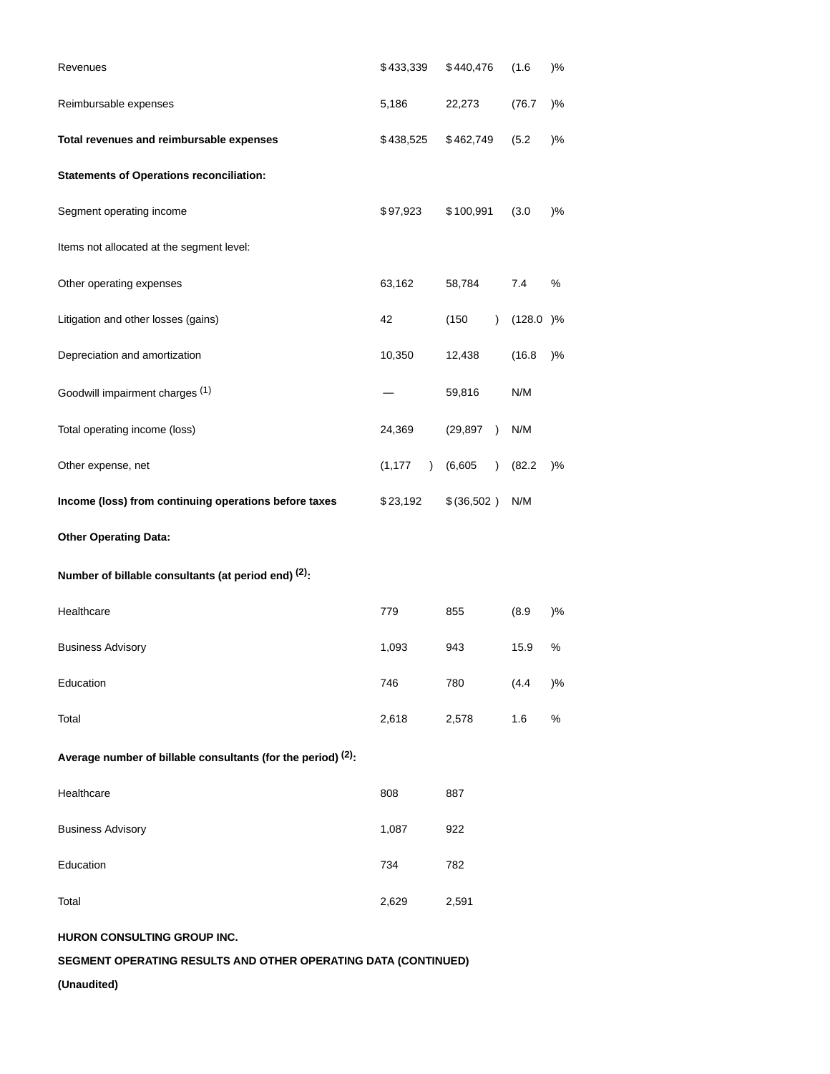| Revenues                                                     | \$433,339             | \$440,476                | (1.6)   | $)\%$ |
|--------------------------------------------------------------|-----------------------|--------------------------|---------|-------|
| Reimbursable expenses                                        | 5,186                 | 22,273                   | (76.7)  | )%    |
| Total revenues and reimbursable expenses                     | \$438,525             | \$462,749                | (5.2)   | )%    |
| <b>Statements of Operations reconciliation:</b>              |                       |                          |         |       |
| Segment operating income                                     | \$97,923              | \$100,991                | (3.0)   | )%    |
| Items not allocated at the segment level:                    |                       |                          |         |       |
| Other operating expenses                                     | 63,162                | 58,784                   | 7.4     | %     |
| Litigation and other losses (gains)                          | 42                    | (150)<br>$\mathcal{L}$   | (128.0) | )%    |
| Depreciation and amortization                                | 10,350                | 12,438                   | (16.8)  | )%    |
| Goodwill impairment charges (1)                              |                       | 59,816                   | N/M     |       |
| Total operating income (loss)                                | 24,369                | (29, 897)<br>$\lambda$   | N/M     |       |
| Other expense, net                                           | (1, 177)<br>$\lambda$ | (6,605)<br>$\mathcal{L}$ | (82.2)  | )%    |
| Income (loss) from continuing operations before taxes        | \$23,192              | \$(36,502)               | N/M     |       |
| <b>Other Operating Data:</b>                                 |                       |                          |         |       |
| Number of billable consultants (at period end) (2):          |                       |                          |         |       |
| Healthcare                                                   | 779                   | 855                      | (8.9)   | )%    |
| <b>Business Advisory</b>                                     | 1,093                 | 943                      | 15.9    | %     |
| Education                                                    | 746                   | 780                      | (4.4)   | )%    |
| Total                                                        | 2,618                 | 2,578                    | 1.6     | $\%$  |
| Average number of billable consultants (for the period) (2): |                       |                          |         |       |
| Healthcare                                                   | 808                   | 887                      |         |       |
| <b>Business Advisory</b>                                     |                       |                          |         |       |
|                                                              | 1,087                 | 922                      |         |       |
| Education                                                    | 734                   | 782                      |         |       |

**SEGMENT OPERATING RESULTS AND OTHER OPERATING DATA (CONTINUED)**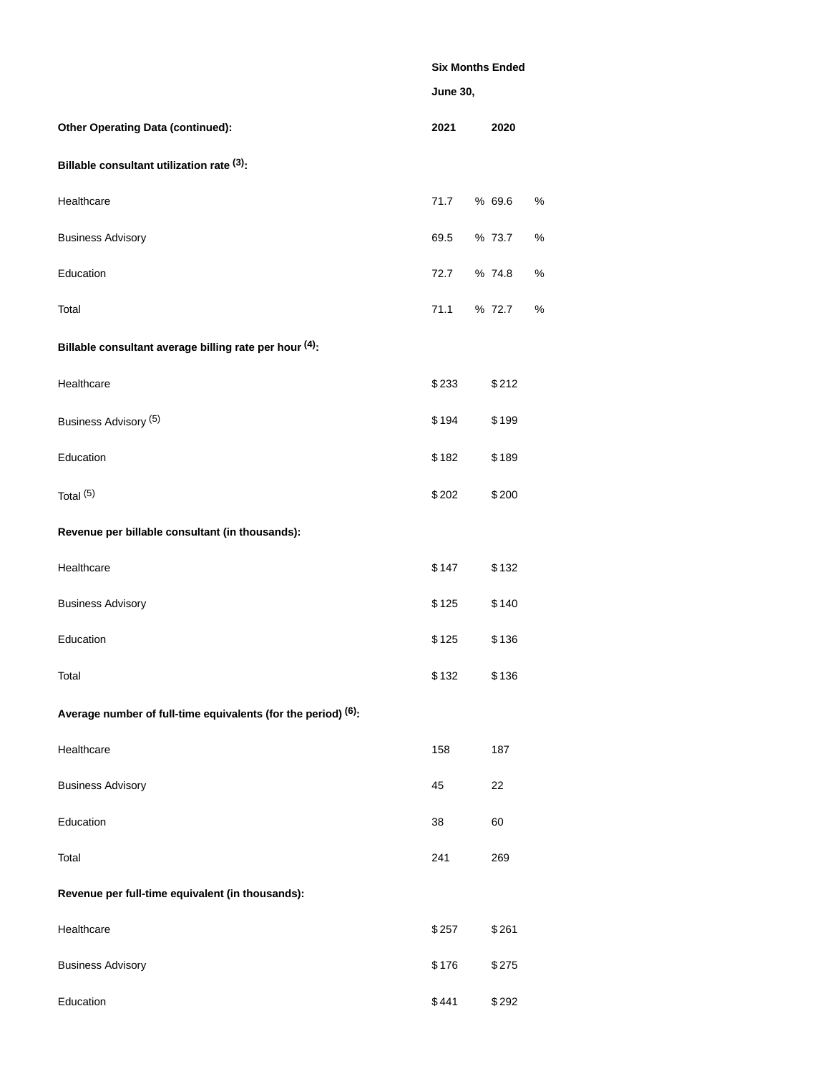| <b>Six Months Ended</b><br>June 30,                           |       |  |        |   |
|---------------------------------------------------------------|-------|--|--------|---|
| <b>Other Operating Data (continued):</b>                      | 2021  |  | 2020   |   |
| Billable consultant utilization rate (3):                     |       |  |        |   |
| Healthcare                                                    | 71.7  |  | %69.6  | % |
| <b>Business Advisory</b>                                      | 69.5  |  | % 73.7 | % |
| Education                                                     | 72.7  |  | % 74.8 | % |
| Total                                                         | 71.1  |  | %72.7  | % |
| Billable consultant average billing rate per hour (4):        |       |  |        |   |
| Healthcare                                                    | \$233 |  | \$212  |   |
| Business Advisory (5)                                         | \$194 |  | \$199  |   |
| Education                                                     | \$182 |  | \$189  |   |
| Total <sup>(5)</sup>                                          | \$202 |  | \$200  |   |
| Revenue per billable consultant (in thousands):               |       |  |        |   |
| Healthcare                                                    | \$147 |  | \$132  |   |
| <b>Business Advisory</b>                                      | \$125 |  | \$140  |   |
| Education                                                     | \$125 |  | \$136  |   |
| Total                                                         | \$132 |  | \$136  |   |
| Average number of full-time equivalents (for the period) (6): |       |  |        |   |
| Healthcare                                                    | 158   |  | 187    |   |
| <b>Business Advisory</b>                                      | 45    |  | 22     |   |
| Education                                                     | 38    |  | 60     |   |
| Total                                                         | 241   |  | 269    |   |
| Revenue per full-time equivalent (in thousands):              |       |  |        |   |
| Healthcare                                                    | \$257 |  | \$261  |   |
| <b>Business Advisory</b>                                      | \$176 |  | \$275  |   |
| Education                                                     | \$441 |  | \$292  |   |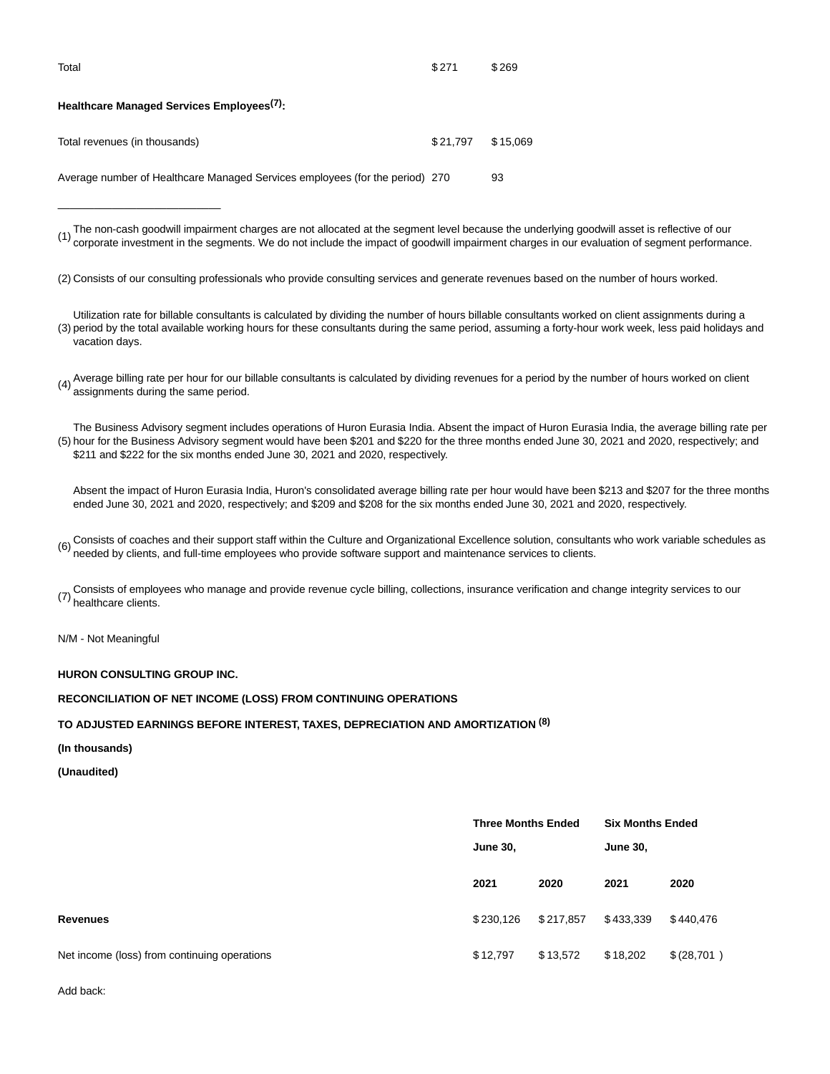| Total                                                  | \$271    | \$269    |
|--------------------------------------------------------|----------|----------|
| Healthcare Managed Services Employees <sup>(7)</sup> : |          |          |
| Total revenues (in thousands)                          | \$21.797 | \$15,069 |

Average number of Healthcare Managed Services employees (for the period) 270 93

(1) The non-cash goodwill impairment charges are not allocated at the segment level because the underlying goodwill asset is reflective of our<br>corporate investment in the segments. We do not include the impact of goodwill

(2) Consists of our consulting professionals who provide consulting services and generate revenues based on the number of hours worked.

(3) period by the total available working hours for these consultants during the same period, assuming a forty-hour work week, less paid holidays and Utilization rate for billable consultants is calculated by dividing the number of hours billable consultants worked on client assignments during a vacation days.

(4) Average billing rate per hour for our billable consultants is calculated by dividing revenues for a period by the number of hours worked on client<br>assignments during the same period.

(5) hour for the Business Advisory segment would have been \$201 and \$220 for the three months ended June 30, 2021 and 2020, respectively; and The Business Advisory segment includes operations of Huron Eurasia India. Absent the impact of Huron Eurasia India, the average billing rate per \$211 and \$222 for the six months ended June 30, 2021 and 2020, respectively.

Absent the impact of Huron Eurasia India, Huron's consolidated average billing rate per hour would have been \$213 and \$207 for the three months ended June 30, 2021 and 2020, respectively; and \$209 and \$208 for the six months ended June 30, 2021 and 2020, respectively.

Consists of employees who manage and provide revenue cycle billing, collections, insurance verification and change integrity services to our  $(7)$  bealthcare clients.

N/M - Not Meaningful

#### **HURON CONSULTING GROUP INC.**

\_\_\_\_\_\_\_\_\_\_\_\_\_\_\_\_\_\_\_\_\_\_\_\_\_\_\_

#### **RECONCILIATION OF NET INCOME (LOSS) FROM CONTINUING OPERATIONS**

#### **TO ADJUSTED EARNINGS BEFORE INTEREST, TAXES, DEPRECIATION AND AMORTIZATION (8)**

- **(In thousands)**
- **(Unaudited)**

|                                              | <b>Three Months Ended</b> |           | <b>Six Months Ended</b> |            |  |
|----------------------------------------------|---------------------------|-----------|-------------------------|------------|--|
|                                              | <b>June 30,</b>           |           | <b>June 30,</b>         |            |  |
|                                              | 2021                      | 2020      | 2021                    | 2020       |  |
| <b>Revenues</b>                              | \$230,126                 | \$217.857 | \$433,339               | \$440,476  |  |
| Net income (loss) from continuing operations | \$12,797                  | \$13,572  | \$18,202                | \$(28,701) |  |

Add back:

<sup>(6)</sup> Consists of coaches and their support staff within the Culture and Organizational Excellence solution, consultants who work variable schedules as<br>(6) pooded by clients, and full time service needed by clients, and full-time employees who provide software support and maintenance services to clients.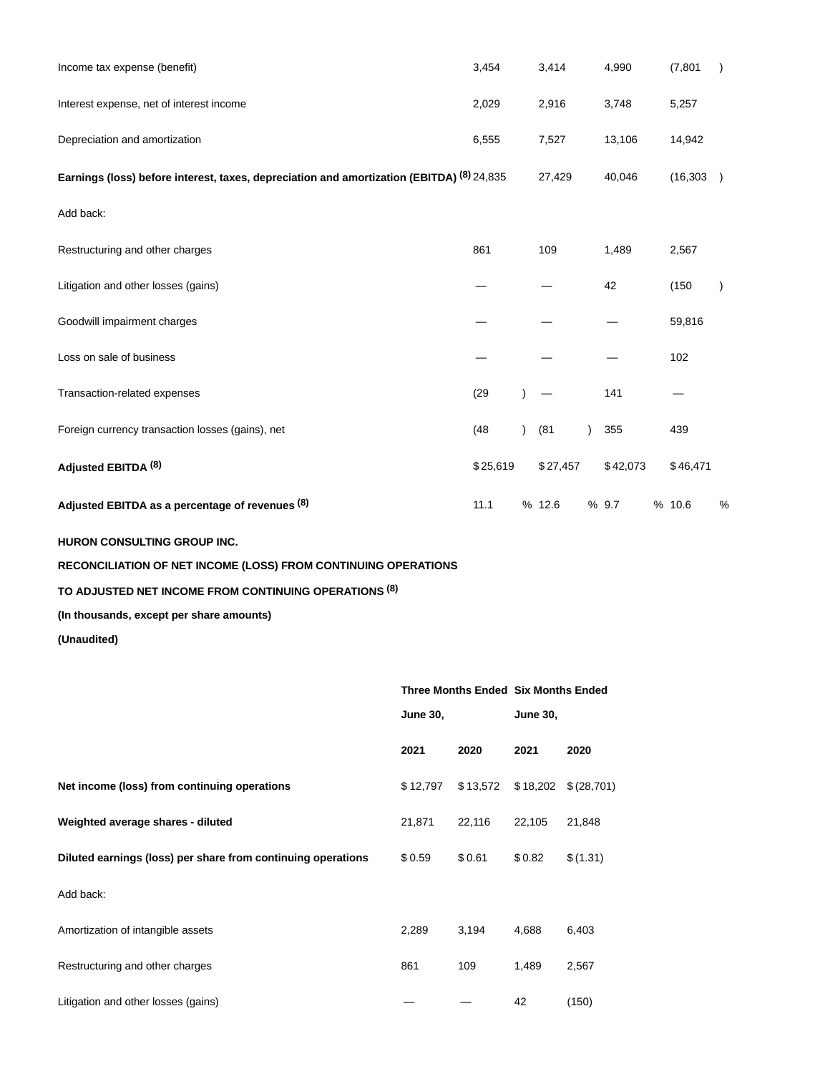| Income tax expense (benefit)                                                              | 3,454    |               | 3,414    | 4,990    | (7, 801) |   |
|-------------------------------------------------------------------------------------------|----------|---------------|----------|----------|----------|---|
| Interest expense, net of interest income                                                  | 2,029    |               | 2,916    | 3,748    | 5,257    |   |
| Depreciation and amortization                                                             | 6,555    |               | 7,527    | 13,106   | 14,942   |   |
| Earnings (loss) before interest, taxes, depreciation and amortization (EBITDA) (8) 24,835 |          |               | 27,429   | 40,046   | (16,303) |   |
| Add back:                                                                                 |          |               |          |          |          |   |
| Restructuring and other charges                                                           | 861      |               | 109      | 1,489    | 2,567    |   |
| Litigation and other losses (gains)                                                       |          |               |          | 42       | (150)    |   |
| Goodwill impairment charges                                                               |          |               |          |          | 59,816   |   |
| Loss on sale of business                                                                  |          |               |          |          | 102      |   |
| Transaction-related expenses                                                              | (29)     |               |          | 141      |          |   |
| Foreign currency transaction losses (gains), net                                          | (48)     | $\mathcal{L}$ | (81)     | 355      | 439      |   |
| Adjusted EBITDA (8)                                                                       | \$25,619 |               | \$27,457 | \$42,073 | \$46,471 |   |
| Adjusted EBITDA as a percentage of revenues (8)                                           | 11.1     |               | % 12.6   | % 9.7    | % 10.6   | % |

**RECONCILIATION OF NET INCOME (LOSS) FROM CONTINUING OPERATIONS**

**TO ADJUSTED NET INCOME FROM CONTINUING OPERATIONS (8)**

**(In thousands, except per share amounts)**

|                                                              | Three Months Ended Six Months Ended |          |                 |             |  |
|--------------------------------------------------------------|-------------------------------------|----------|-----------------|-------------|--|
|                                                              | <b>June 30,</b>                     |          | <b>June 30,</b> |             |  |
|                                                              | 2021                                | 2020     | 2021            | 2020        |  |
| Net income (loss) from continuing operations                 | \$12,797                            | \$13,572 | \$18,202        | \$ (28,701) |  |
| Weighted average shares - diluted                            | 21,871                              | 22,116   | 22,105          | 21,848      |  |
| Diluted earnings (loss) per share from continuing operations | \$0.59                              | \$0.61   | \$0.82          | \$(1.31)    |  |
| Add back:                                                    |                                     |          |                 |             |  |
| Amortization of intangible assets                            | 2,289                               | 3,194    | 4,688           | 6,403       |  |
| Restructuring and other charges                              | 861                                 | 109      | 1,489           | 2,567       |  |
| Litigation and other losses (gains)                          |                                     |          | 42              | (150)       |  |